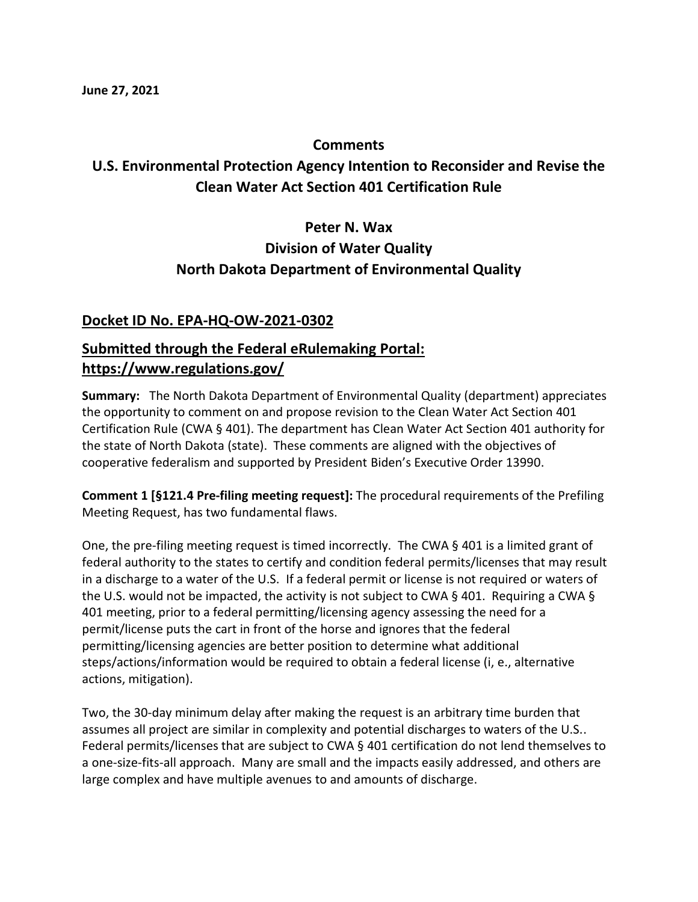### **Comments**

## **U.S. Environmental Protection Agency Intention to Reconsider and Revise the Clean Water Act Section 401 Certification Rule**

# **Peter N. Wax Division of Water Quality North Dakota Department of Environmental Quality**

#### **Docket ID No. EPA-HQ-OW-2021-0302**

### **Submitted through the Federal eRulemaking Portal: https://www.regulations.gov/**

**Summary:** The North Dakota Department of Environmental Quality (department) appreciates the opportunity to comment on and propose revision to the Clean Water Act Section 401 Certification Rule (CWA § 401). The department has Clean Water Act Section 401 authority for the state of North Dakota (state). These comments are aligned with the objectives of cooperative federalism and supported by President Biden's Executive Order 13990.

**Comment 1 [§121.4 Pre-filing meeting request]:** The procedural requirements of the Prefiling Meeting Request, has two fundamental flaws.

One, the pre-filing meeting request is timed incorrectly. The CWA § 401 is a limited grant of federal authority to the states to certify and condition federal permits/licenses that may result in a discharge to a water of the U.S. If a federal permit or license is not required or waters of the U.S. would not be impacted, the activity is not subject to CWA  $\S$  401. Requiring a CWA  $\S$ 401 meeting, prior to a federal permitting/licensing agency assessing the need for a permit/license puts the cart in front of the horse and ignores that the federal permitting/licensing agencies are better position to determine what additional steps/actions/information would be required to obtain a federal license (i, e., alternative actions, mitigation).

Two, the 30-day minimum delay after making the request is an arbitrary time burden that assumes all project are similar in complexity and potential discharges to waters of the U.S.. Federal permits/licenses that are subject to CWA § 401 certification do not lend themselves to a one-size-fits-all approach. Many are small and the impacts easily addressed, and others are large complex and have multiple avenues to and amounts of discharge.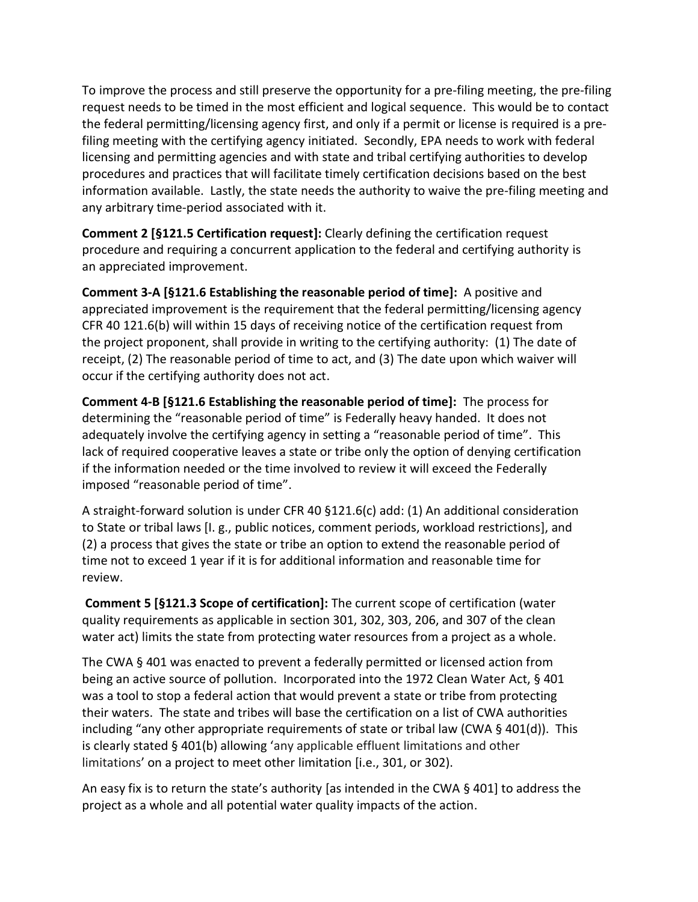To improve the process and still preserve the opportunity for a pre-filing meeting, the pre-filing request needs to be timed in the most efficient and logical sequence. This would be to contact the federal permitting/licensing agency first, and only if a permit or license is required is a prefiling meeting with the certifying agency initiated. Secondly, EPA needs to work with federal licensing and permitting agencies and with state and tribal certifying authorities to develop procedures and practices that will facilitate timely certification decisions based on the best information available. Lastly, the state needs the authority to waive the pre-filing meeting and any arbitrary time-period associated with it.

**Comment 2 [§121.5 Certification request]:** Clearly defining the certification request procedure and requiring a concurrent application to the federal and certifying authority is an appreciated improvement.

**Comment 3-A [§121.6 Establishing the reasonable period of time]:** A positive and appreciated improvement is the requirement that the federal permitting/licensing agency CFR 40 121.6(b) will within 15 days of receiving notice of the certification request from the project proponent, shall provide in writing to the certifying authority: (1) The date of receipt, (2) The reasonable period of time to act, and (3) The date upon which waiver will occur if the certifying authority does not act.

**Comment 4-B [§121.6 Establishing the reasonable period of time]:** The process for determining the "reasonable period of time" is Federally heavy handed. It does not adequately involve the certifying agency in setting a "reasonable period of time". This lack of required cooperative leaves a state or tribe only the option of denying certification if the information needed or the time involved to review it will exceed the Federally imposed "reasonable period of time".

A straight-forward solution is under CFR 40 §121.6(c) add: (1) An additional consideration to State or tribal laws [I. g., public notices, comment periods, workload restrictions], and (2) a process that gives the state or tribe an option to extend the reasonable period of time not to exceed 1 year if it is for additional information and reasonable time for review.

**Comment 5 [§121.3 Scope of certification]:** The current scope of certification (water quality requirements as applicable in section 301, 302, 303, 206, and 307 of the clean water act) limits the state from protecting water resources from a project as a whole.

The CWA § 401 was enacted to prevent a federally permitted or licensed action from being an active source of pollution. Incorporated into the 1972 Clean Water Act, § 401 was a tool to stop a federal action that would prevent a state or tribe from protecting their waters. The state and tribes will base the certification on a list of CWA authorities including "any other appropriate requirements of state or tribal law (CWA § 401(d)). This is clearly stated § 401(b) allowing 'any applicable effluent limitations and other limitations' on a project to meet other limitation [i.e., 301, or 302).

An easy fix is to return the state's authority [as intended in the CWA § 401] to address the project as a whole and all potential water quality impacts of the action.